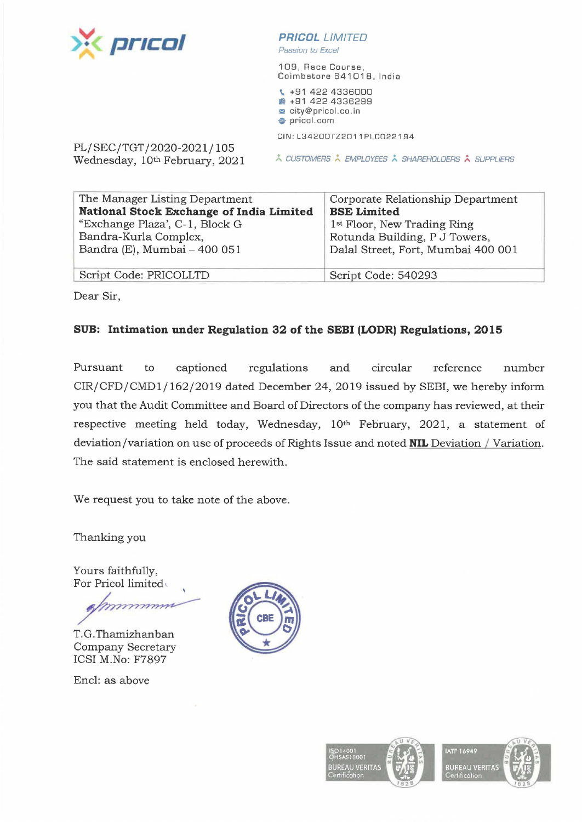

*Passion to Excel* 

109, Race Course, Coimbatore 641018, India

\ +91 422 4336000 **11m** +91 422 4336299 **m** city@pricol.co. in **e** pricol.com

CIN:L34200TZ2011PLC022194

PL/SEC/TGT/2020-2021/105<br>Wednesday, 10<sup>th</sup> February, 2021

**A CUSTOMERS À EMPLOYEES À SHAREHOLDERS À SUPPLIERS** 

| Corporate Relationship Department       |
|-----------------------------------------|
| <b>BSE Limited</b>                      |
| 1 <sup>st</sup> Floor, New Trading Ring |
| Rotunda Building, P J Towers,           |
| Dalal Street, Fort, Mumbai 400 001      |
|                                         |
| Script Code: 540293                     |
|                                         |

Dear Sir,

## **SUB: Intimation under Regulation 32 of the SEBI (LODR) Regulations, 2015**

Pursuant to captioned regulations and circular reference number CIR/CFD/CMDl/ 162/2019 dated December 24, 2019 issued by SEBI, we hereby inform you that the Audit Committee and Board of Directors of the company has reviewed, at their respective meeting held today, Wednesday, 10th February, 2021, a statement of deviation/variation on use of proceeds of Rights Issue and noted **NIL** Deviation / Variation. The said statement is enclosed herewith.

We request you to take note of the above.

Thanking you

Yours faithfully, For Pricol limited~

T.G. Thamizhanban Company Secretary ICSI M.No: F7897

Encl: as above